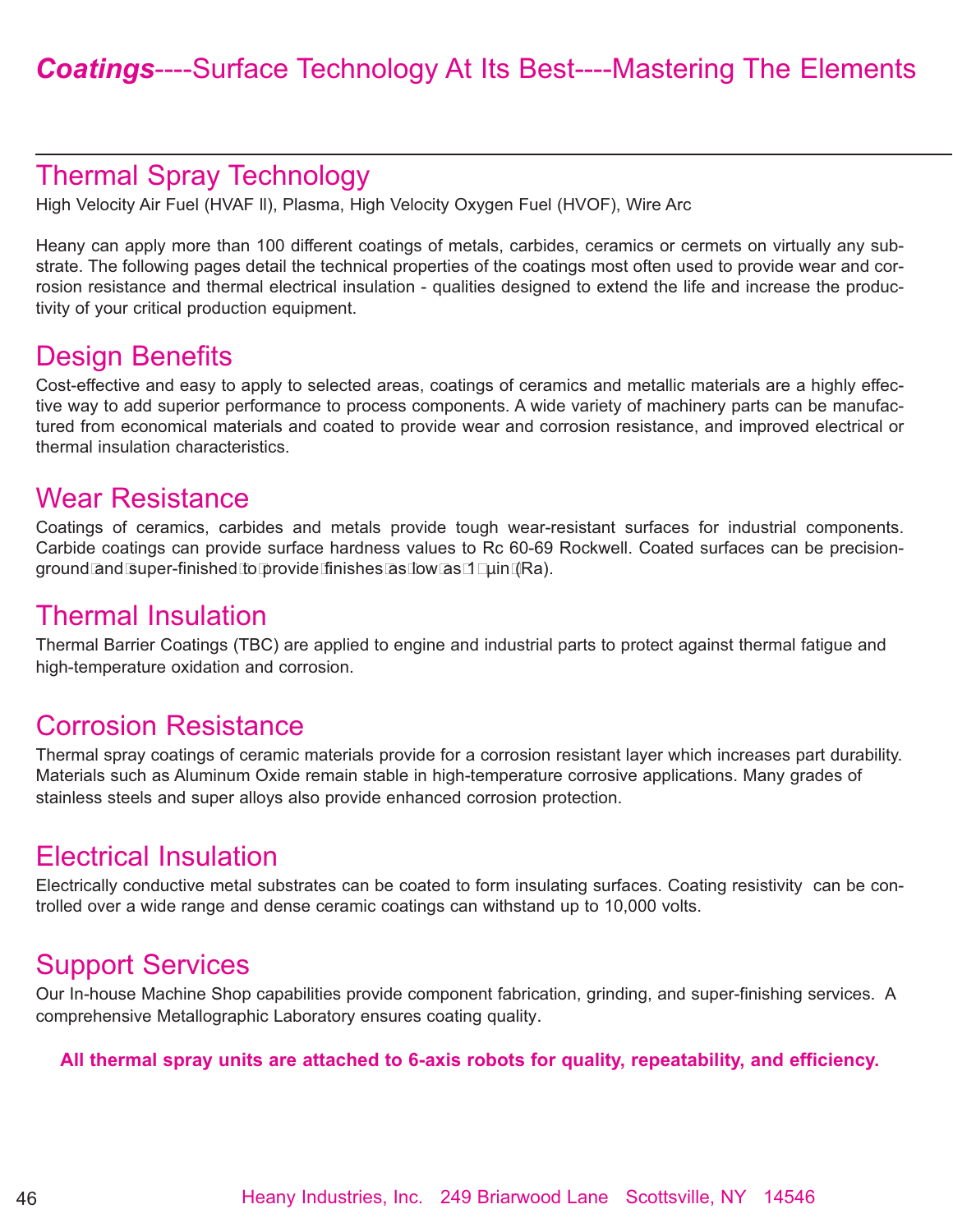## Thermal Spray Technology

High Velocity Air Fuel (HVAF ll), Plasma, High Velocity Oxygen Fuel (HVOF), Wire Arc

Heany can apply more than 100 different coatings of metals, carbides, ceramics or cermets on virtually any substrate. The following pages detail the technical properties of the coatings most often used to provide wear and corrosion resistance and thermal electrical insulation - qualities designed to extend the life and increase the productivity of your critical production equipment.

### Design Benefits

Cost-effective and easy to apply to selected areas, coatings of ceramics and metallic materials are a highly effective way to add superior performance to process components. A wide variety of machinery parts can be manufactured from economical materials and coated to provide wear and corrosion resistance, and improved electrical or thermal insulation characteristics.

#### Wear Resistance

Coatings of ceramics, carbides and metals provide tough wear-resistant surfaces for industrial components. Carbide coatings can provide surface hardness values to Rc 60-69 Rockwell. Coated surfaces can be precisionground and super-finished to provide finishes as low as 1 µin (Ra).

#### Thermal Insulation

Thermal Barrier Coatings (TBC) are applied to engine and industrial parts to protect against thermal fatigue and high-temperature oxidation and corrosion.

#### Corrosion Resistance

Thermal spray coatings of ceramic materials provide for a corrosion resistant layer which increases part durability. Materials such as Aluminum Oxide remain stable in high-temperature corrosive applications. Many grades of stainless steels and super alloys also provide enhanced corrosion protection.

## Electrical Insulation

Electrically conductive metal substrates can be coated to form insulating surfaces. Coating resistivity can be controlled over a wide range and dense ceramic coatings can withstand up to 10,000 volts.

## Support Services

Our In-house Machine Shop capabilities provide component fabrication, grinding, and super-finishing services. A comprehensive Metallographic Laboratory ensures coating quality.

#### **All thermal spray units are attached to 6-axis robots for quality, repeatability, and efficiency.**